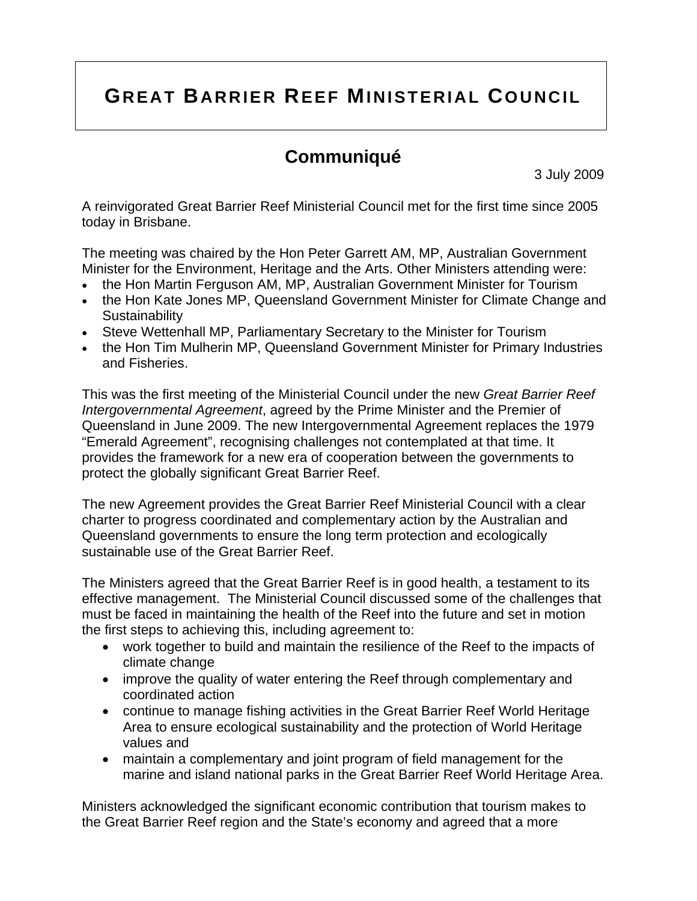# **GREAT BARRIER REEF MINISTERIAL COUNCIL**

# **Communiqué**

3 July 2009

A reinvigorated Great Barrier Reef Ministerial Council met for the first time since 2005 today in Brisbane.

The meeting was chaired by the Hon Peter Garrett AM, MP, Australian Government Minister for the Environment, Heritage and the Arts. Other Ministers attending were:

- the Hon Martin Ferguson AM, MP, Australian Government Minister for Tourism
- the Hon Kate Jones MP, Queensland Government Minister for Climate Change and **Sustainability**
- Steve Wettenhall MP, Parliamentary Secretary to the Minister for Tourism
- the Hon Tim Mulherin MP, Queensland Government Minister for Primary Industries and Fisheries.

This was the first meeting of the Ministerial Council under the new *Great Barrier Reef Intergovernmental Agreement*, agreed by the Prime Minister and the Premier of Queensland in June 2009. The new Intergovernmental Agreement replaces the 1979 "Emerald Agreement", recognising challenges not contemplated at that time. It provides the framework for a new era of cooperation between the governments to protect the globally significant Great Barrier Reef.

The new Agreement provides the Great Barrier Reef Ministerial Council with a clear charter to progress coordinated and complementary action by the Australian and Queensland governments to ensure the long term protection and ecologically sustainable use of the Great Barrier Reef.

The Ministers agreed that the Great Barrier Reef is in good health, a testament to its effective management. The Ministerial Council discussed some of the challenges that must be faced in maintaining the health of the Reef into the future and set in motion the first steps to achieving this, including agreement to:

- work together to build and maintain the resilience of the Reef to the impacts of climate change
- improve the quality of water entering the Reef through complementary and coordinated action
- continue to manage fishing activities in the Great Barrier Reef World Heritage Area to ensure ecological sustainability and the protection of World Heritage values and
- maintain a complementary and joint program of field management for the marine and island national parks in the Great Barrier Reef World Heritage Area.

Ministers acknowledged the significant economic contribution that tourism makes to the Great Barrier Reef region and the State's economy and agreed that a more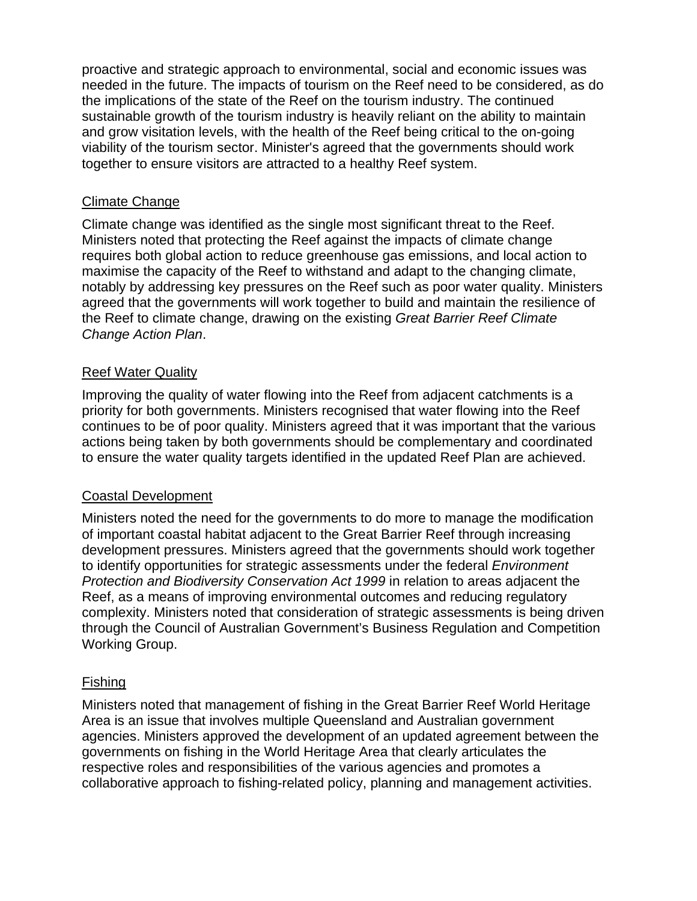proactive and strategic approach to environmental, social and economic issues was needed in the future. The impacts of tourism on the Reef need to be considered, as do the implications of the state of the Reef on the tourism industry. The continued sustainable growth of the tourism industry is heavily reliant on the ability to maintain and grow visitation levels, with the health of the Reef being critical to the on-going viability of the tourism sector. Minister's agreed that the governments should work together to ensure visitors are attracted to a healthy Reef system.

#### Climate Change

Climate change was identified as the single most significant threat to the Reef. Ministers noted that protecting the Reef against the impacts of climate change requires both global action to reduce greenhouse gas emissions, and local action to maximise the capacity of the Reef to withstand and adapt to the changing climate, notably by addressing key pressures on the Reef such as poor water quality. Ministers agreed that the governments will work together to build and maintain the resilience of the Reef to climate change, drawing on the existing *Great Barrier Reef Climate Change Action Plan*.

## Reef Water Quality

Improving the quality of water flowing into the Reef from adjacent catchments is a priority for both governments. Ministers recognised that water flowing into the Reef continues to be of poor quality. Ministers agreed that it was important that the various actions being taken by both governments should be complementary and coordinated to ensure the water quality targets identified in the updated Reef Plan are achieved.

#### Coastal Development

Ministers noted the need for the governments to do more to manage the modification of important coastal habitat adjacent to the Great Barrier Reef through increasing development pressures. Ministers agreed that the governments should work together to identify opportunities for strategic assessments under the federal *Environment Protection and Biodiversity Conservation Act 1999* in relation to areas adjacent the Reef, as a means of improving environmental outcomes and reducing regulatory complexity. Ministers noted that consideration of strategic assessments is being driven through the Council of Australian Government's Business Regulation and Competition Working Group.

#### Fishing

Ministers noted that management of fishing in the Great Barrier Reef World Heritage Area is an issue that involves multiple Queensland and Australian government agencies. Ministers approved the development of an updated agreement between the governments on fishing in the World Heritage Area that clearly articulates the respective roles and responsibilities of the various agencies and promotes a collaborative approach to fishing-related policy, planning and management activities.